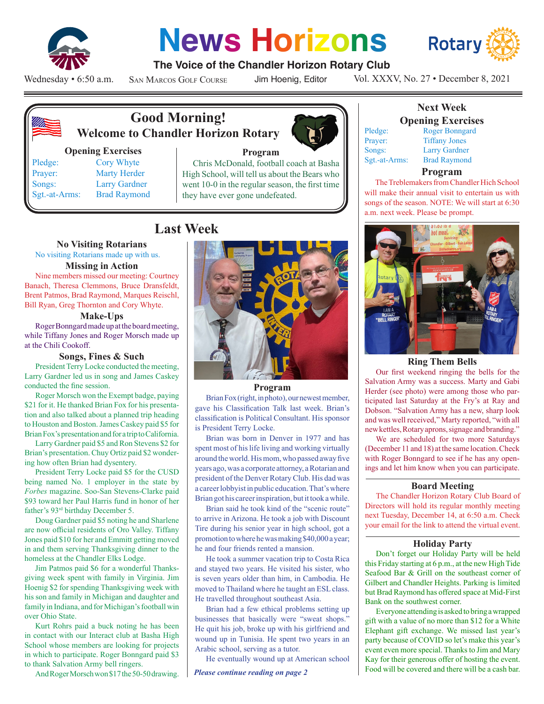

# **News Horizons**



### **The Voice of the Chandler Horizon Rotary Club**

Wednesday • 6:50 a.m.

San Marcos Golf Course

Jim Hoenig, Editor

Vol. XXXV, No. 27 • December 8, 2021



# **Good Morning! Welcome to Chandler Horizon Rotary**

#### **Opening Exercises**

Sgt.-at-Arms: Brad Raymond

Pledge: Cory Whyte Prayer: Marty Herder Songs: Larry Gardner



#### **Program**

Chris McDonald, football coach at Basha High School, will tell us about the Bears who went 10-0 in the regular season, the first time they have ever gone undefeated.

# **Last Week**

#### **No Visiting Rotarians**

No visiting Rotarians made up with us.

#### **Missing in Action**

Nine members missed our meeting: Courtney Banach, Theresa Clemmons, Bruce Dransfeldt, Brent Patmos, Brad Raymond, Marques Reischl, Bill Ryan, Greg Thornton and Cory Whyte.

#### **Make-Ups**

Roger Bonngard made up at the board meeting, while Tiffany Jones and Roger Morsch made up at the Chili Cookoff.

#### **Songs, Fines & Such**

President Terry Locke conducted the meeting, Larry Gardner led us in song and James Caskey conducted the fine session.

Roger Morsch won the Exempt badge, paying \$21 for it. He thanked Brian Fox for his presentation and also talked about a planned trip heading to Houston and Boston. James Caskey paid \$5 for Brian Fox's presentation and for a trip to California.

Larry Gardner paid \$5 and Ron Stevens \$2 for Brian's presentation. Chuy Ortiz paid \$2 wondering how often Brian had dysentery.

President Terry Locke paid \$5 for the CUSD being named No. 1 employer in the state by *Forbes* magazine. Soo-San Stevens-Clarke paid \$93 toward her Paul Harris fund in honor of her father's 93rd birthday December 5.

Doug Gardner paid \$5 noting he and Sharlene are now official residents of Oro Valley. Tiffany Jones paid \$10 for her and Emmitt getting moved in and them serving Thanksgiving dinner to the homeless at the Chandler Elks Lodge.

Jim Patmos paid \$6 for a wonderful Thanksgiving week spent with family in Virginia. Jim Hoenig \$2 for spending Thanksgiving week with his son and family in Michigan and daughter and family in Indiana, and for Michigan's football win over Ohio State.

Kurt Rohrs paid a buck noting he has been in contact with our Interact club at Basha High School whose members are looking for projects in which to participate. Roger Bonngard paid \$3 to thank Salvation Army bell ringers.

And Roger Morsch won \$17 the 50-50 drawing.



#### **Program**

Brian Fox (right, in photo), our newest member, gave his Classification Talk last week. Brian's classification is Political Consultant. His sponsor is President Terry Locke.

Brian was born in Denver in 1977 and has spent most of his life living and working virtually around the world. His mom, who passed away five years ago, was a corporate attorney, a Rotarian and president of the Denver Rotary Club. His dad was a career lobbyist in public education. That's where Brian got his career inspiration, but it took a while.

Brian said he took kind of the "scenic route" to arrive in Arizona. He took a job with Discount Tire during his senior year in high school, got a promotion to where he was making \$40,000 a year; he and four friends rented a mansion.

He took a summer vacation trip to Costa Rica and stayed two years. He visited his sister, who is seven years older than him, in Cambodia. He moved to Thailand where he taught an ESL class. He travelled throughout southeast Asia.

Brian had a few ethical problems setting up businesses that basically were "sweat shops." He quit his job, broke up with his girlfriend and wound up in Tunisia. He spent two years in an Arabic school, serving as a tutor.

He eventually wound up at American school

*Please continue reading on page 2*

#### **Next Week Opening Exercises** Pledge: Roger Bonngard

Prayer: Tiffany Jones Songs: Larry Gardner Sgt.-at-Arms: Brad Raymond

#### **Program**

The Treblemakers from Chandler Hich School will make their annual visit to entertain us with songs of the season. NOTE: We will start at 6:30 a.m. next week. Please be prompt.



#### **Ring Them Bells**

Our first weekend ringing the bells for the Salvation Army was a success. Marty and Gabi Herder (see photo) were among those who participated last Saturday at the Fry's at Ray and Dobson. "Salvation Army has a new, sharp look and was well received," Marty reported, "with all new kettles, Rotary aprons, signage and branding."

We are scheduled for two more Saturdays (December 11 and 18) at the same location. Check with Roger Bonngard to see if he has any openings and let him know when you can participate.

#### **Board Meeting**

The Chandler Horizon Rotary Club Board of Directors will hold its regular monthly meeting next Tuesday, December 14, at 6:50 a.m. Check your email for the link to attend the virtual event.

#### **Holiday Party**

Don't forget our Holiday Party will be held this Friday starting at 6 p.m., at the new High Tide Seafood Bar & Grill on the southeast corner of Gilbert and Chandler Heights. Parking is limited but Brad Raymond has offered space at Mid-First Bank on the southwest corner.

Everyone attending is asked to bring a wrapped gift with a value of no more than \$12 for a White Elephant gift exchange. We missed last year's party because of COVID so let's make this year's event even more special. Thanks to Jim and Mary Kay for their generous offer of hosting the event. Food will be covered and there will be a cash bar.